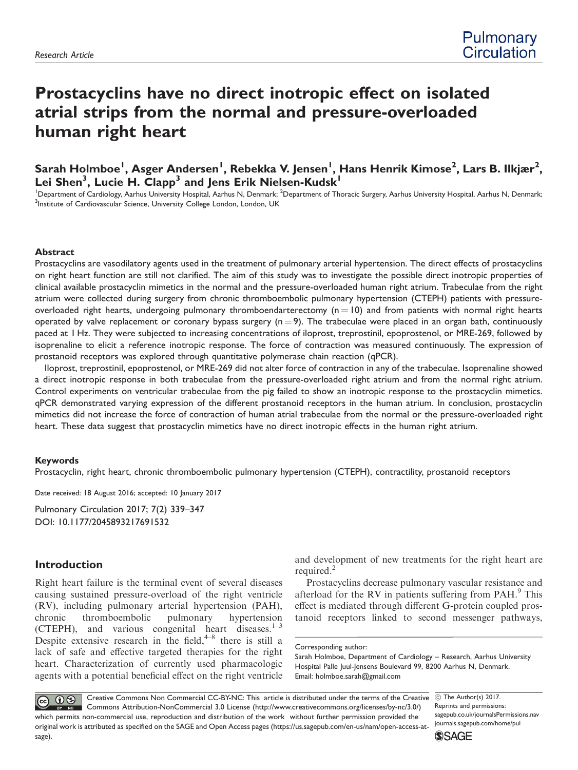# Prostacyclins have no direct inotropic effect on isolated atrial strips from the normal and pressure-overloaded human right heart

Sarah Holmboe<sup>l</sup>, Asger Andersen<sup>l</sup>, Rebekka V. Jensen<sup>l</sup>, Hans Henrik Kimose<sup>2</sup>, Lars B. Ilkjær<sup>2</sup>, Lei Shen<sup>3</sup>, Lucie H. Clapp<sup>3</sup> and Jens Erik Nielsen-Kudsk<sup>1</sup>

<sup>1</sup>Department of Cardiology, Aarhus University Hospital, Aarhus N, Denmark; <sup>2</sup>Department of Thoracic Surgery, Aarhus University Hospital, Aarhus N, Denmark;<br><sup>3</sup>Institute of Cardiovascular Science, University College Londo <sup>3</sup>Institute of Cardiovascular Science, University College London, London, UK

#### Abstract

Prostacyclins are vasodilatory agents used in the treatment of pulmonary arterial hypertension. The direct effects of prostacyclins on right heart function are still not clarified. The aim of this study was to investigate the possible direct inotropic properties of clinical available prostacyclin mimetics in the normal and the pressure-overloaded human right atrium. Trabeculae from the right atrium were collected during surgery from chronic thromboembolic pulmonary hypertension (CTEPH) patients with pressureoverloaded right hearts, undergoing pulmonary thromboendarterectomy  $(n = 10)$  and from patients with normal right hearts operated by valve replacement or coronary bypass surgery  $(n = 9)$ . The trabeculae were placed in an organ bath, continuously paced at 1 Hz. They were subjected to increasing concentrations of iloprost, treprostinil, epoprostenol, or MRE-269, followed by isoprenaline to elicit a reference inotropic response. The force of contraction was measured continuously. The expression of prostanoid receptors was explored through quantitative polymerase chain reaction (qPCR).

Iloprost, treprostinil, epoprostenol, or MRE-269 did not alter force of contraction in any of the trabeculae. Isoprenaline showed a direct inotropic response in both trabeculae from the pressure-overloaded right atrium and from the normal right atrium. Control experiments on ventricular trabeculae from the pig failed to show an inotropic response to the prostacyclin mimetics. qPCR demonstrated varying expression of the different prostanoid receptors in the human atrium. In conclusion, prostacyclin mimetics did not increase the force of contraction of human atrial trabeculae from the normal or the pressure-overloaded right heart. These data suggest that prostacyclin mimetics have no direct inotropic effects in the human right atrium.

#### Keywords

Prostacyclin, right heart, chronic thromboembolic pulmonary hypertension (CTEPH), contractility, prostanoid receptors

Date received: 18 August 2016; accepted: 10 January 2017

Pulmonary Circulation 2017; 7(2) 339–347 DOI: [10.1177/2045893217691532](https://doi.org/10.1177/2045893217691532)

#### Introduction

Right heart failure is the terminal event of several diseases causing sustained pressure-overload of the right ventricle (RV), including pulmonary arterial hypertension (PAH), chronic thromboembolic pulmonary hypertension (CTEPH), and various congenital heart diseases. $1-3$ Despite extensive research in the field, $4-8$  there is still a lack of safe and effective targeted therapies for the right heart. Characterization of currently used pharmacologic agents with a potential beneficial effect on the right ventricle and development of new treatments for the right heart are required.<sup>2</sup>

Prostacyclins decrease pulmonary vascular resistance and afterload for the RV in patients suffering from PAH.<sup>9</sup> This effect is mediated through different G-protein coupled prostanoid receptors linked to second messenger pathways,

Corresponding author:

Sarah Holmboe, Department of Cardiology – Research, Aarhus University Hospital Palle Juul-Jensens Boulevard 99, 8200 Aarhus N, Denmark. Email: holmboe.sarah@gmail.com

Creative Commons Non Commercial CC-BY-NC: This article is distributed under the terms of the Creative  $\odot$  $|$  (cc) Commons Attribution-NonCommercial 3.0 License (http://www.creativecommons.org/licenses/by-nc/3.0/) which permits non-commercial use, reproduction and distribution of the work without further permission provided the original work is attributed as specified on the SAGE and Open Access pages (https://us.sagepub.com/en-us/nam/open-access-atsage).

 $\overline{\odot}$  The Author(s) 2017. Reprints and permissions: [sagepub.co.uk/journalsPermissions.nav](https://uk.sagepub.com/en-gb/journals-permissions) <journals.sagepub.com/home/pul>

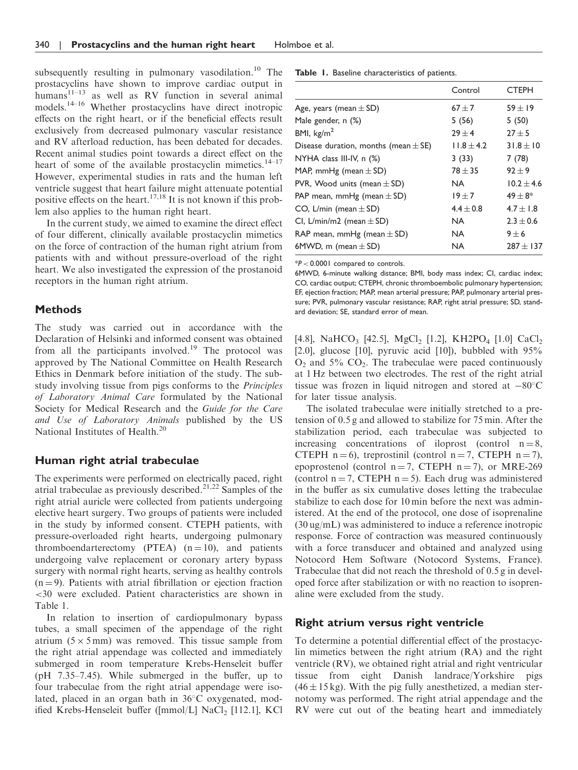subsequently resulting in pulmonary vasodilation.<sup>10</sup> The prostacyclins have shown to improve cardiac output in  $humans<sup>11–13</sup>$  as well as RV function in several animal models.14–16 Whether prostacyclins have direct inotropic effects on the right heart, or if the beneficial effects result exclusively from decreased pulmonary vascular resistance and RV afterload reduction, has been debated for decades. Recent animal studies point towards a direct effect on the heart of some of the available prostacyclin mimetics. $14-17$ However, experimental studies in rats and the human left ventricle suggest that heart failure might attenuate potential positive effects on the heart.<sup>17,18</sup> It is not known if this problem also applies to the human right heart.

In the current study, we aimed to examine the direct effect of four different, clinically available prostacyclin mimetics on the force of contraction of the human right atrium from patients with and without pressure-overload of the right heart. We also investigated the expression of the prostanoid receptors in the human right atrium.

### Methods

The study was carried out in accordance with the Declaration of Helsinki and informed consent was obtained from all the participants involved.<sup>19</sup> The protocol was approved by The National Committee on Health Research Ethics in Denmark before initiation of the study. The substudy involving tissue from pigs conforms to the Principles of Laboratory Animal Care formulated by the National Society for Medical Research and the Guide for the Care and Use of Laboratory Animals published by the US National Institutes of Health.<sup>20</sup>

#### Human right atrial trabeculae

The experiments were performed on electrically paced, right atrial trabeculae as previously described.<sup>21,22</sup> Samples of the right atrial auricle were collected from patients undergoing elective heart surgery. Two groups of patients were included in the study by informed consent. CTEPH patients, with pressure-overloaded right hearts, undergoing pulmonary thromboendarterectomy (PTEA)  $(n = 10)$ , and patients undergoing valve replacement or coronary artery bypass surgery with normal right hearts, serving as healthy controls  $(n = 9)$ . Patients with atrial fibrillation or ejection fraction <30 were excluded. Patient characteristics are shown in Table 1.

In relation to insertion of cardiopulmonary bypass tubes, a small specimen of the appendage of the right atrium  $(5 \times 5 \text{ mm})$  was removed. This tissue sample from the right atrial appendage was collected and immediately submerged in room temperature Krebs-Henseleit buffer (pH 7.35–7.45). While submerged in the buffer, up to four trabeculae from the right atrial appendage were isolated, placed in an organ bath in  $36^{\circ}$ C oxygenated, modified Krebs-Henseleit buffer ( $\text{[mmol/L]}$  NaCl<sub>2</sub> [112.1], KCl Table 1. Baseline characteristics of patients.

|                                          | Control        | <b>CTEPH</b>   |
|------------------------------------------|----------------|----------------|
| Age, years (mean $\pm$ SD)               | $67 + 7$       | $59 \pm 19$    |
| Male gender, n (%)                       | 5(56)          | 5(50)          |
| BMI, $\text{kg/m}^2$                     | $29 + 4$       | $27 + 5$       |
| Disease duration, months (mean $\pm$ SE) | $11.8 \pm 4.2$ | $31.8 \pm 10$  |
| NYHA class III-IV, $n$ (%)               | 3(33)          | 7(78)          |
| MAP, mmHg (mean $\pm$ SD)                | $78 + 35$      | $92 + 9$       |
| PVR, Wood units (mean $\pm$ SD)          | NA.            | $10.2 \pm 4.6$ |
| PAP mean, mmHg (mean $\pm$ SD)           | $19 + 7$       | $49 \pm 8*$    |
| CO, L/min (mean $\pm$ SD)                | $4.4 \pm 0.8$  | $4.7 \pm 1.8$  |
| CI, L/min/m2 (mean $\pm$ SD)             | <b>NA</b>      | $2.3 \pm 0.6$  |
| RAP mean, mmHg (mean $\pm$ SD)           | <b>NA</b>      | $9 \pm 6$      |
| 6MWD, m (mean $\pm$ SD)                  | NA             | $287 + 137$    |

 $*P < 0.0001$  compared to controls.

6MWD, 6-minute walking distance; BMI, body mass index; CI, cardiac index; CO, cardiac output; CTEPH, chronic thromboembolic pulmonary hypertension; EF, ejection fraction; MAP, mean arterial pressure; PAP, pulmonary arterial pressure; PVR, pulmonary vascular resistance; RAP, right atrial pressure; SD, standard deviation; SE, standard error of mean.

[4.8], NaHCO<sub>3</sub> [42.5], MgCl<sub>2</sub> [1.2], KH2PO<sub>4</sub> [1.0] CaCl<sub>2</sub> [2.0], glucose [10], pyruvic acid [10]), bubbled with  $95\%$  $O_2$  and 5%  $CO_2$ . The trabeculae were paced continuously at 1 Hz between two electrodes. The rest of the right atrial tissue was frozen in liquid nitrogen and stored at  $-80^{\circ}$ C for later tissue analysis.

The isolated trabeculae were initially stretched to a pretension of 0.5 g and allowed to stabilize for 75 min. After the stabilization period, each trabeculae was subjected to increasing concentrations of iloprost (control  $n = 8$ , CTEPH  $n = 6$ ), treprostinil (control  $n = 7$ , CTEPH  $n = 7$ ), epoprostenol (control  $n = 7$ , CTEPH  $n = 7$ ), or MRE-269 (control  $n = 7$ , CTEPH  $n = 5$ ). Each drug was administered in the buffer as six cumulative doses letting the trabeculae stabilize to each dose for 10 min before the next was administered. At the end of the protocol, one dose of isoprenaline (30 ug/mL) was administered to induce a reference inotropic response. Force of contraction was measured continuously with a force transducer and obtained and analyzed using Notocord Hem Software (Notocord Systems, France). Trabeculae that did not reach the threshold of 0.5 g in developed force after stabilization or with no reaction to isoprenaline were excluded from the study.

#### Right atrium versus right ventricle

To determine a potential differential effect of the prostacyclin mimetics between the right atrium (RA) and the right ventricle (RV), we obtained right atrial and right ventricular tissue from eight Danish landrace/Yorkshire pigs  $(46 \pm 15 \text{ kg})$ . With the pig fully anesthetized, a median sternotomy was performed. The right atrial appendage and the RV were cut out of the beating heart and immediately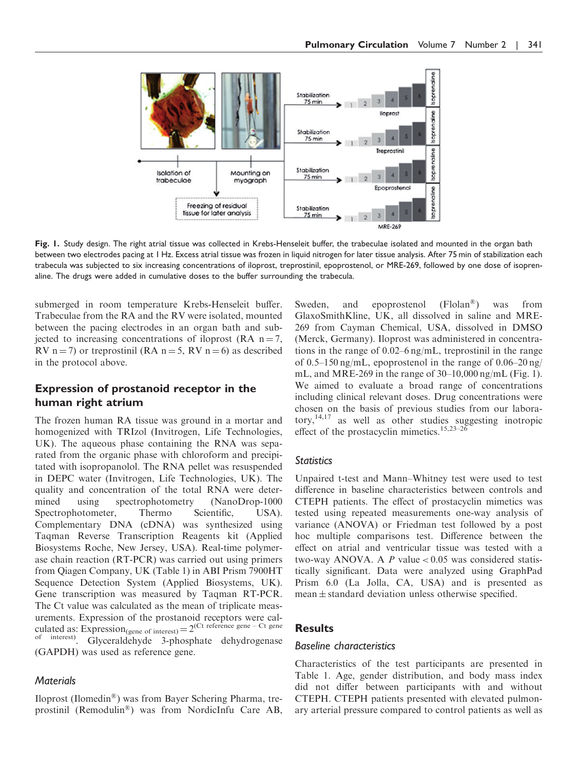

Fig. 1. Study design. The right atrial tissue was collected in Krebs-Henseleit buffer, the trabeculae isolated and mounted in the organ bath between two electrodes pacing at 1 Hz. Excess atrial tissue was frozen in liquid nitrogen for later tissue analysis. After 75 min of stabilization each trabecula was subjected to six increasing concentrations of iloprost, treprostinil, epoprostenol, or MRE-269, followed by one dose of isoprenaline. The drugs were added in cumulative doses to the buffer surrounding the trabecula.

submerged in room temperature Krebs-Henseleit buffer. Trabeculae from the RA and the RV were isolated, mounted between the pacing electrodes in an organ bath and subjected to increasing concentrations of iloprost (RA  $n = 7$ , RV n = 7) or treprostinil (RA n = 5, RV n = 6) as described in the protocol above.

# Expression of prostanoid receptor in the human right atrium

The frozen human RA tissue was ground in a mortar and homogenized with TRIzol (Invitrogen, Life Technologies, UK). The aqueous phase containing the RNA was separated from the organic phase with chloroform and precipitated with isopropanolol. The RNA pellet was resuspended in DEPC water (Invitrogen, Life Technologies, UK). The quality and concentration of the total RNA were determined using spectrophotometry (NanoDrop-1000 Spectrophotometer, Thermo Scientific, USA). Complementary DNA (cDNA) was synthesized using Taqman Reverse Transcription Reagents kit (Applied Biosystems Roche, New Jersey, USA). Real-time polymerase chain reaction (RT-PCR) was carried out using primers from Qiagen Company, UK (Table 1) in ABI Prism 7900HT Sequence Detection System (Applied Biosystems, UK). Gene transcription was measured by Taqman RT-PCR. The Ct value was calculated as the mean of triplicate measurements. Expression of the prostanoid receptors were calculated as: Expression<sub>(gene of interest)</sub>  $= 2^{(Ct \text{ reference gene} - Ct \text{ gene})}$ <br>of interest)  $Ct$   $Ct$   $= 2^{(Ct \text{ reference gene} - Ct \text{ gene})}$ interest). Glyceraldehyde 3-phosphate dehydrogenase (GAPDH) was used as reference gene.

#### **Materials**

Iloprost (Ilomedin-) was from Bayer Schering Pharma, treprostinil (Remodulin<sup>®</sup>) was from NordicInfu Care AB, Sweden, and epoprostenol  $(Flolan^{\circledR})$ ) was from GlaxoSmithKline, UK, all dissolved in saline and MRE-269 from Cayman Chemical, USA, dissolved in DMSO (Merck, Germany). Iloprost was administered in concentrations in the range of 0.02–6 ng/mL, treprostinil in the range of 0.5–150 ng/mL, epoprostenol in the range of 0.06–20 ng/ mL, and MRE-269 in the range of  $30-10,000$  ng/mL (Fig. 1). We aimed to evaluate a broad range of concentrations including clinical relevant doses. Drug concentrations were chosen on the basis of previous studies from our laboratory,14,17 as well as other studies suggesting inotropic effect of the prostacyclin mimetics.<sup>15,23–26</sup>

#### **Statistics**

Unpaired t-test and Mann–Whitney test were used to test difference in baseline characteristics between controls and CTEPH patients. The effect of prostacyclin mimetics was tested using repeated measurements one-way analysis of variance (ANOVA) or Friedman test followed by a post hoc multiple comparisons test. Difference between the effect on atrial and ventricular tissue was tested with a two-way ANOVA. A P value  $< 0.05$  was considered statistically significant. Data were analyzed using GraphPad Prism 6.0 (La Jolla, CA, USA) and is presented as  $mean \pm standard$  deviation unless otherwise specified.

#### **Results**

#### Baseline characteristics

Characteristics of the test participants are presented in Table 1. Age, gender distribution, and body mass index did not differ between participants with and without CTEPH. CTEPH patients presented with elevated pulmonary arterial pressure compared to control patients as well as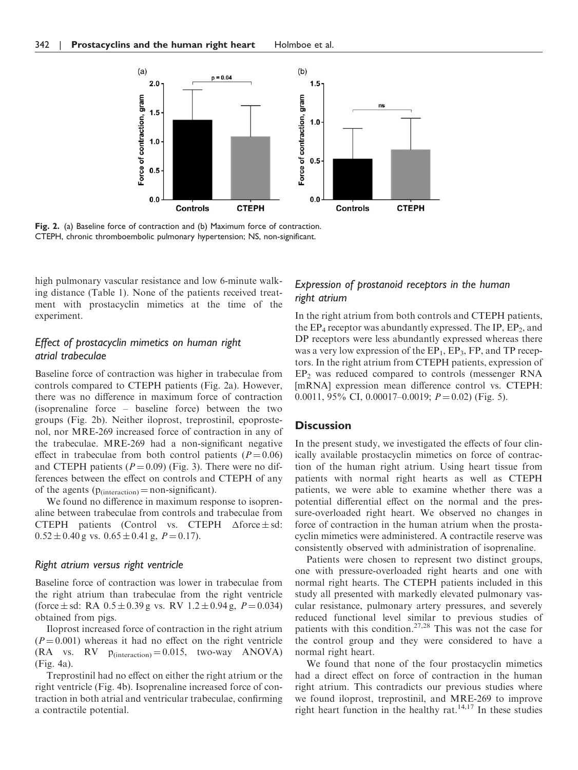

Fig. 2. (a) Baseline force of contraction and (b) Maximum force of contraction. CTEPH, chronic thromboembolic pulmonary hypertension; NS, non-significant.

high pulmonary vascular resistance and low 6-minute walking distance (Table 1). None of the patients received treatment with prostacyclin mimetics at the time of the experiment.

## Effect of prostacyclin mimetics on human right atrial trabeculae

Baseline force of contraction was higher in trabeculae from controls compared to CTEPH patients (Fig. 2a). However, there was no difference in maximum force of contraction (isoprenaline force – baseline force) between the two groups (Fig. 2b). Neither iloprost, treprostinil, epoprostenol, nor MRE-269 increased force of contraction in any of the trabeculae. MRE-269 had a non-significant negative effect in trabeculae from both control patients ( $P = 0.06$ ) and CTEPH patients ( $P = 0.09$ ) (Fig. 3). There were no differences between the effect on controls and CTEPH of any of the agents  $(p<sub>(interaction)</sub> = non-significant)$ .

We found no difference in maximum response to isoprenaline between trabeculae from controls and trabeculae from CTEPH patients (Control vs. CTEPH  $\Delta$ force  $\pm$  sd:  $0.52 \pm 0.40$  g vs.  $0.65 \pm 0.41$  g,  $P = 0.17$ ).

#### Right atrium versus right ventricle

Baseline force of contraction was lower in trabeculae from the right atrium than trabeculae from the right ventricle (force  $\pm$  sd: RA 0.5  $\pm$  0.39 g vs. RV 1.2  $\pm$  0.94 g,  $P = 0.034$ ) obtained from pigs.

Iloprost increased force of contraction in the right atrium  $(P = 0.001)$  whereas it had no effect on the right ventricle  $(RA$  vs. RV  $p_{(interaction)} = 0.015$ , two-way ANOVA) (Fig. 4a).

Treprostinil had no effect on either the right atrium or the right ventricle (Fig. 4b). Isoprenaline increased force of contraction in both atrial and ventricular trabeculae, confirming a contractile potential.

# Expression of prostanoid receptors in the human right atrium

In the right atrium from both controls and CTEPH patients, the  $EP_4$  receptor was abundantly expressed. The IP,  $EP_2$ , and DP receptors were less abundantly expressed whereas there was a very low expression of the  $EP_1$ ,  $EP_3$ ,  $FP$ , and TP receptors. In the right atrium from CTEPH patients, expression of  $EP<sub>2</sub>$  was reduced compared to controls (messenger RNA [mRNA] expression mean difference control vs. CTEPH: 0.0011, 95% CI, 0.00017–0.0019;  $P = 0.02$ ) (Fig. 5).

## **Discussion**

In the present study, we investigated the effects of four clinically available prostacyclin mimetics on force of contraction of the human right atrium. Using heart tissue from patients with normal right hearts as well as CTEPH patients, we were able to examine whether there was a potential differential effect on the normal and the pressure-overloaded right heart. We observed no changes in force of contraction in the human atrium when the prostacyclin mimetics were administered. A contractile reserve was consistently observed with administration of isoprenaline.

Patients were chosen to represent two distinct groups, one with pressure-overloaded right hearts and one with normal right hearts. The CTEPH patients included in this study all presented with markedly elevated pulmonary vascular resistance, pulmonary artery pressures, and severely reduced functional level similar to previous studies of patients with this condition.<sup>27,28</sup> This was not the case for the control group and they were considered to have a normal right heart.

We found that none of the four prostacyclin mimetics had a direct effect on force of contraction in the human right atrium. This contradicts our previous studies where we found iloprost, treprostinil, and MRE-269 to improve right heart function in the healthy rat.<sup>14,17</sup> In these studies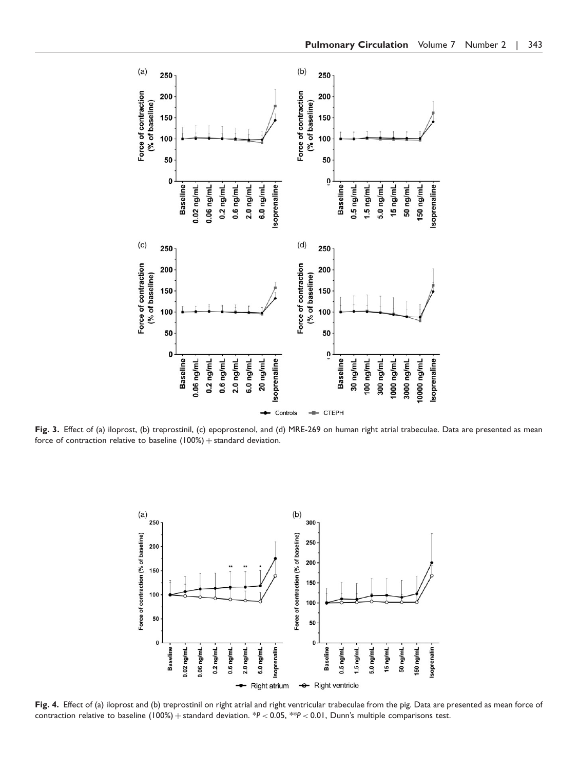

Fig. 3. Effect of (a) iloprost, (b) treprostinil, (c) epoprostenol, and (d) MRE-269 on human right atrial trabeculae. Data are presented as mean force of contraction relative to baseline  $(100%) +$  standard deviation.



Fig. 4. Effect of (a) iloprost and (b) treprostinil on right atrial and right ventricular trabeculae from the pig. Data are presented as mean force of contraction relative to baseline (100%) + standard deviation. \*P < 0.05, \*\*P < 0.01, Dunn's multiple comparisons test.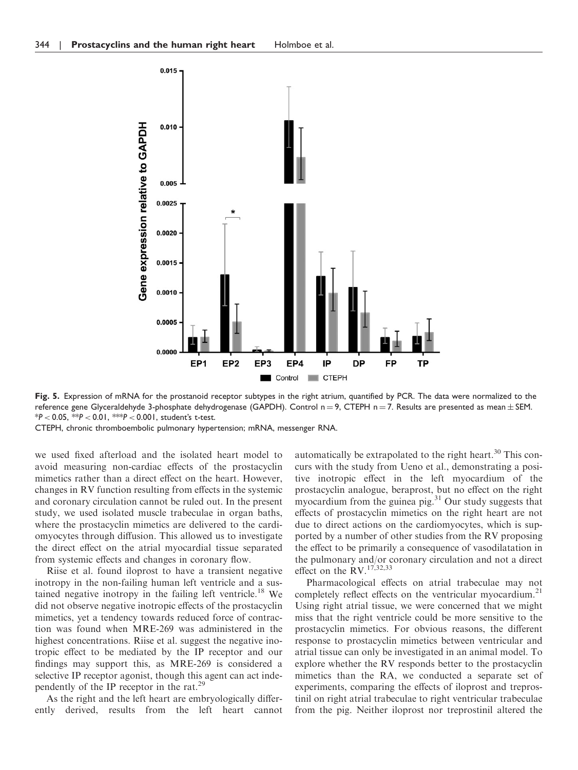

Fig. 5. Expression of mRNA for the prostanoid receptor subtypes in the right atrium, quantified by PCR. The data were normalized to the reference gene Glyceraldehyde 3-phosphate dehydrogenase (GAPDH). Control  $n = 9$ , CTEPH  $n = 7$ . Results are presented as mean  $\pm$  SEM.  $*P < 0.05$ ,  $*P < 0.01$ ,  $*P < 0.001$ , student's t-test.

CTEPH, chronic thromboembolic pulmonary hypertension; mRNA, messenger RNA.

we used fixed afterload and the isolated heart model to avoid measuring non-cardiac effects of the prostacyclin mimetics rather than a direct effect on the heart. However, changes in RV function resulting from effects in the systemic and coronary circulation cannot be ruled out. In the present study, we used isolated muscle trabeculae in organ baths, where the prostacyclin mimetics are delivered to the cardiomyocytes through diffusion. This allowed us to investigate the direct effect on the atrial myocardial tissue separated from systemic effects and changes in coronary flow.

Riise et al. found iloprost to have a transient negative inotropy in the non-failing human left ventricle and a sustained negative inotropy in the failing left ventricle.<sup>18</sup> We did not observe negative inotropic effects of the prostacyclin mimetics, yet a tendency towards reduced force of contraction was found when MRE-269 was administered in the highest concentrations. Riise et al. suggest the negative inotropic effect to be mediated by the IP receptor and our findings may support this, as MRE-269 is considered a selective IP receptor agonist, though this agent can act independently of the IP receptor in the rat.<sup>29</sup>

As the right and the left heart are embryologically differently derived, results from the left heart cannot automatically be extrapolated to the right heart.<sup>30</sup> This concurs with the study from Ueno et al., demonstrating a positive inotropic effect in the left myocardium of the prostacyclin analogue, beraprost, but no effect on the right myocardium from the guinea pig. $31$  Our study suggests that effects of prostacyclin mimetics on the right heart are not due to direct actions on the cardiomyocytes, which is supported by a number of other studies from the RV proposing the effect to be primarily a consequence of vasodilatation in the pulmonary and/or coronary circulation and not a direct effect on the RV.<sup>17,32,33</sup>

Pharmacological effects on atrial trabeculae may not completely reflect effects on the ventricular myocardium.<sup>21</sup> Using right atrial tissue, we were concerned that we might miss that the right ventricle could be more sensitive to the prostacyclin mimetics. For obvious reasons, the different response to prostacyclin mimetics between ventricular and atrial tissue can only be investigated in an animal model. To explore whether the RV responds better to the prostacyclin mimetics than the RA, we conducted a separate set of experiments, comparing the effects of iloprost and treprostinil on right atrial trabeculae to right ventricular trabeculae from the pig. Neither iloprost nor treprostinil altered the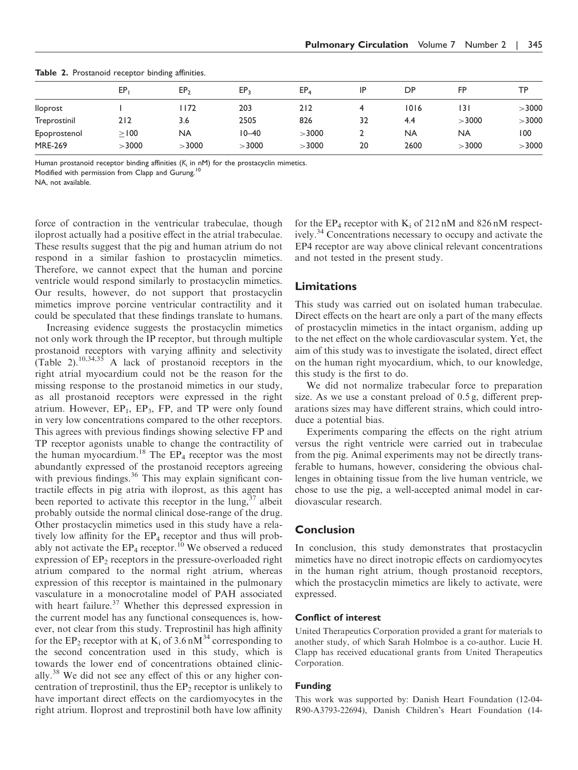|                | $\tilde{\phantom{a}}$ |                 |           |                 |    |      |           |           |  |
|----------------|-----------------------|-----------------|-----------|-----------------|----|------|-----------|-----------|--|
|                | EΡ                    | EP <sub>2</sub> | EP-       | EP <sub>4</sub> | IP | DР   | FP        | <b>TP</b> |  |
| lloprost       |                       | 1172            | 203       | 212             |    | 1016 | 131       | >3000     |  |
| Treprostinil   | 212                   | 3.6             | 2505      | 826             | 32 | 4.4  | >3000     | >3000     |  |
| Epoprostenol   | > 100                 | <b>NA</b>       | $10 - 40$ | >3000           |    | NA   | <b>NA</b> | 100       |  |
| <b>MRE-269</b> | >3000                 | >3000           | >3000     | $>$ 3000        | 20 | 2600 | >3000     | >3000     |  |

Table 2. Prostanoid receptor binding affinities.

Human prostanoid receptor binding affinities ( $K_i$  in nM) for the prostacyclin mimetics.

Modified with permission from Clapp and Gurung.<sup>10</sup>

NA, not available.

force of contraction in the ventricular trabeculae, though iloprost actually had a positive effect in the atrial trabeculae. These results suggest that the pig and human atrium do not respond in a similar fashion to prostacyclin mimetics. Therefore, we cannot expect that the human and porcine ventricle would respond similarly to prostacyclin mimetics. Our results, however, do not support that prostacyclin mimetics improve porcine ventricular contractility and it could be speculated that these findings translate to humans.

Increasing evidence suggests the prostacyclin mimetics not only work through the IP receptor, but through multiple prostanoid receptors with varying affinity and selectivity (Table 2).<sup>10,34,35</sup> A lack of prostanoid receptors in the right atrial myocardium could not be the reason for the missing response to the prostanoid mimetics in our study, as all prostanoid receptors were expressed in the right atrium. However,  $EP_1$ ,  $EP_3$ ,  $FP$ , and  $TP$  were only found in very low concentrations compared to the other receptors. This agrees with previous findings showing selective FP and TP receptor agonists unable to change the contractility of the human myocardium.<sup>18</sup> The  $EP_4$  receptor was the most abundantly expressed of the prostanoid receptors agreeing with previous findings.<sup>36</sup> This may explain significant contractile effects in pig atria with iloprost, as this agent has been reported to activate this receptor in the lung,  $37$  albeit probably outside the normal clinical dose-range of the drug. Other prostacyclin mimetics used in this study have a relatively low affinity for the  $EP_4$  receptor and thus will probably not activate the  $EP_4$  receptor.<sup>10</sup> We observed a reduced expression of  $EP<sub>2</sub>$  receptors in the pressure-overloaded right atrium compared to the normal right atrium, whereas expression of this receptor is maintained in the pulmonary vasculature in a monocrotaline model of PAH associated with heart failure.<sup>37</sup> Whether this depressed expression in the current model has any functional consequences is, however, not clear from this study. Treprostinil has high affinity for the EP<sub>2</sub> receptor with at K<sub>i</sub> of  $3.6 \text{ nM}^{34}$  corresponding to the second concentration used in this study, which is towards the lower end of concentrations obtained clinically.<sup>38</sup> We did not see any effect of this or any higher concentration of treprostinil, thus the  $EP_2$  receptor is unlikely to have important direct effects on the cardiomyocytes in the right atrium. Iloprost and treprostinil both have low affinity

for the  $EP_4$  receptor with  $K_i$  of 212 nM and 826 nM respectively.<sup>34</sup> Concentrations necessary to occupy and activate the EP4 receptor are way above clinical relevant concentrations and not tested in the present study.

## Limitations

This study was carried out on isolated human trabeculae. Direct effects on the heart are only a part of the many effects of prostacyclin mimetics in the intact organism, adding up to the net effect on the whole cardiovascular system. Yet, the aim of this study was to investigate the isolated, direct effect on the human right myocardium, which, to our knowledge, this study is the first to do.

We did not normalize trabecular force to preparation size. As we use a constant preload of 0.5 g, different preparations sizes may have different strains, which could introduce a potential bias.

Experiments comparing the effects on the right atrium versus the right ventricle were carried out in trabeculae from the pig. Animal experiments may not be directly transferable to humans, however, considering the obvious challenges in obtaining tissue from the live human ventricle, we chose to use the pig, a well-accepted animal model in cardiovascular research.

## **Conclusion**

In conclusion, this study demonstrates that prostacyclin mimetics have no direct inotropic effects on cardiomyocytes in the human right atrium, though prostanoid receptors, which the prostacyclin mimetics are likely to activate, were expressed.

#### Conflict of interest

United Therapeutics Corporation provided a grant for materials to another study, of which Sarah Holmboe is a co-author. Lucie H. Clapp has received educational grants from United Therapeutics Corporation.

#### Funding

This work was supported by: Danish Heart Foundation (12-04- R90-A3793-22694), Danish Children's Heart Foundation (14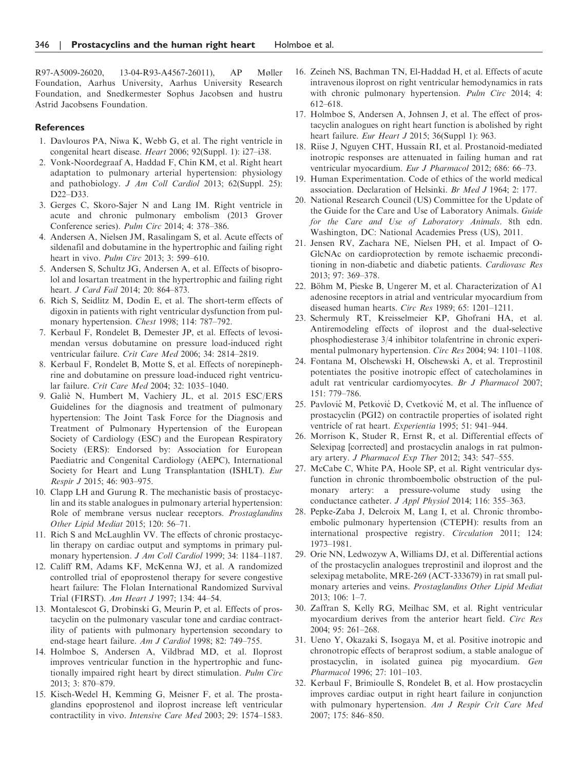R97-A5009-26020, 13-04-R93-A4567-26011), AP Møller Foundation, Aarhus University, Aarhus University Research Foundation, and Snedkermester Sophus Jacobsen and hustru Astrid Jacobsens Foundation.

#### References

- 1. Davlouros PA, Niwa K, Webb G, et al. The right ventricle in congenital heart disease. Heart 2006; 92(Suppl. 1): i27–i38.
- 2. Vonk-Noordegraaf A, Haddad F, Chin KM, et al. Right heart adaptation to pulmonary arterial hypertension: physiology and pathobiology. J Am Coll Cardiol 2013; 62(Suppl. 25):  $D22-D33$
- 3. Gerges C, Skoro-Sajer N and Lang IM. Right ventricle in acute and chronic pulmonary embolism (2013 Grover Conference series). Pulm Circ 2014; 4: 378–386.
- 4. Andersen A, Nielsen JM, Rasalingam S, et al. Acute effects of sildenafil and dobutamine in the hypertrophic and failing right heart in vivo. Pulm Circ 2013; 3: 599–610.
- 5. Andersen S, Schultz JG, Andersen A, et al. Effects of bisoprolol and losartan treatment in the hypertrophic and failing right heart. *J Card Fail* 2014; 20: 864-873.
- 6. Rich S, Seidlitz M, Dodin E, et al. The short-term effects of digoxin in patients with right ventricular dysfunction from pulmonary hypertension. Chest 1998; 114: 787–792.
- 7. Kerbaul F, Rondelet B, Demester JP, et al. Effects of levosimendan versus dobutamine on pressure load-induced right ventricular failure. Crit Care Med 2006; 34: 2814–2819.
- 8. Kerbaul F, Rondelet B, Motte S, et al. Effects of norepinephrine and dobutamine on pressure load-induced right ventricular failure. Crit Care Med 2004; 32: 1035–1040.
- 9. Galie` N, Humbert M, Vachiery JL, et al. 2015 ESC/ERS Guidelines for the diagnosis and treatment of pulmonary hypertension: The Joint Task Force for the Diagnosis and Treatment of Pulmonary Hypertension of the European Society of Cardiology (ESC) and the European Respiratory Society (ERS): Endorsed by: Association for European Paediatric and Congenital Cardiology (AEPC), International Society for Heart and Lung Transplantation (ISHLT). Eur Respir J 2015; 46: 903–975.
- 10. Clapp LH and Gurung R. The mechanistic basis of prostacyclin and its stable analogues in pulmonary arterial hypertension: Role of membrane versus nuclear receptors. Prostaglandins Other Lipid Mediat 2015; 120: 56–71.
- 11. Rich S and McLaughlin VV. The effects of chronic prostacyclin therapy on cardiac output and symptoms in primary pulmonary hypertension. *J Am Coll Cardiol* 1999; 34: 1184–1187.
- 12. Califf RM, Adams KF, McKenna WJ, et al. A randomized controlled trial of epoprostenol therapy for severe congestive heart failure: The Flolan International Randomized Survival Trial (FIRST). Am Heart J 1997; 134: 44–54.
- 13. Montalescot G, Drobinski G, Meurin P, et al. Effects of prostacyclin on the pulmonary vascular tone and cardiac contractility of patients with pulmonary hypertension secondary to end-stage heart failure. Am J Cardiol 1998; 82: 749–755.
- 14. Holmboe S, Andersen A, Vildbrad MD, et al. Iloprost improves ventricular function in the hypertrophic and functionally impaired right heart by direct stimulation. Pulm Circ 2013; 3: 870–879.
- 15. Kisch-Wedel H, Kemming G, Meisner F, et al. The prostaglandins epoprostenol and iloprost increase left ventricular contractility in vivo. Intensive Care Med 2003; 29: 1574–1583.
- 16. Zeineh NS, Bachman TN, El-Haddad H, et al. Effects of acute intravenous iloprost on right ventricular hemodynamics in rats with chronic pulmonary hypertension. Pulm Circ 2014; 4: 612–618.
- 17. Holmboe S, Andersen A, Johnsen J, et al. The effect of prostacyclin analogues on right heart function is abolished by right heart failure. Eur Heart J 2015; 36(Suppl 1): 963.
- 18. Riise J, Nguyen CHT, Hussain RI, et al. Prostanoid-mediated inotropic responses are attenuated in failing human and rat ventricular myocardium. Eur J Pharmacol 2012; 686: 66–73.
- 19. Human Experimentation. Code of ethics of the world medical association. Declaration of Helsinki. Br Med J 1964; 2: 177.
- 20. National Research Council (US) Committee for the Update of the Guide for the Care and Use of Laboratory Animals. Guide for the Care and Use of Laboratory Animals. 8th edn. Washington, DC: National Academies Press (US), 2011.
- 21. Jensen RV, Zachara NE, Nielsen PH, et al. Impact of O-GlcNAc on cardioprotection by remote ischaemic preconditioning in non-diabetic and diabetic patients. Cardiovasc Res 2013; 97: 369–378.
- 22. Böhm M, Pieske B, Ungerer M, et al. Characterization of A1 adenosine receptors in atrial and ventricular myocardium from diseased human hearts. Circ Res 1989; 65: 1201–1211.
- 23. Schermuly RT, Kreisselmeier KP, Ghofrani HA, et al. Antiremodeling effects of iloprost and the dual-selective phosphodiesterase 3/4 inhibitor tolafentrine in chronic experimental pulmonary hypertension. Circ Res 2004; 94: 1101–1108.
- 24. Fontana M, Olschewski H, Olschewski A, et al. Treprostinil potentiates the positive inotropic effect of catecholamines in adult rat ventricular cardiomyocytes. Br J Pharmacol 2007; 151: 779–786.
- 25. Pavlović M, Petković D, Cvetković M, et al. The influence of prostacyclin (PGI2) on contractile properties of isolated right ventricle of rat heart. Experientia 1995; 51: 941-944.
- 26. Morrison K, Studer R, Ernst R, et al. Differential effects of Selexipag [corrected] and prostacyclin analogs in rat pulmonary artery. J Pharmacol Exp Ther 2012; 343: 547–555.
- 27. McCabe C, White PA, Hoole SP, et al. Right ventricular dysfunction in chronic thromboembolic obstruction of the pulmonary artery: a pressure-volume study using the conductance catheter. J Appl Physiol 2014; 116: 355–363.
- 28. Pepke-Zaba J, Delcroix M, Lang I, et al. Chronic thromboembolic pulmonary hypertension (CTEPH): results from an international prospective registry. Circulation 2011; 124: 1973–1981.
- 29. Orie NN, Ledwozyw A, Williams DJ, et al. Differential actions of the prostacyclin analogues treprostinil and iloprost and the selexipag metabolite, MRE-269 (ACT-333679) in rat small pulmonary arteries and veins. Prostaglandins Other Lipid Mediat 2013; 106: 1–7.
- 30. Zaffran S, Kelly RG, Meilhac SM, et al. Right ventricular myocardium derives from the anterior heart field. Circ Res 2004; 95: 261–268.
- 31. Ueno Y, Okazaki S, Isogaya M, et al. Positive inotropic and chronotropic effects of beraprost sodium, a stable analogue of prostacyclin, in isolated guinea pig myocardium. Gen Pharmacol 1996; 27: 101–103.
- 32. Kerbaul F, Brimioulle S, Rondelet B, et al. How prostacyclin improves cardiac output in right heart failure in conjunction with pulmonary hypertension. Am J Respir Crit Care Med 2007; 175: 846–850.